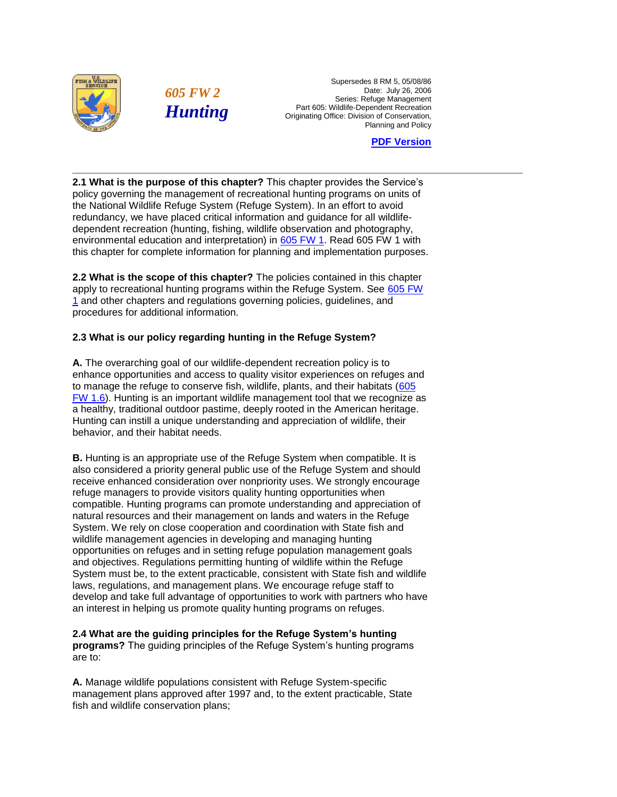



 Supersedes 8 RM 5, 05/08/86 Date: July 26, 2006 Part 605: Wildlife-Dependent Recreation Part 605: Wildlife-Dependent Recreation *Hunting* Originating Office: Division of Conservation, **605 FW 2** Date: July 26, 2006<br>Series: Refuge Management Planning and Policy

**[PDF Version](http://policy.fws.gov/605fw2.pdf)** 

 policy governing the management of recreational hunting programs on units of **2.1 What is the purpose of this chapter?** This chapter provides the Service's the National Wildlife Refuge System (Refuge System). In an effort to avoid redundancy, we have placed critical information and guidance for all wildlifedependent recreation (hunting, fishing, wildlife observation and photography, environmental education and interpretation) in [605 FW 1.](http://www.fws.gov/policy/605fw1.html) Read 605 FW 1 with this chapter for complete information for planning and implementation purposes.

**2.2 What is the scope of this chapter?** The policies contained in this chapter apply to recreational hunting programs within the Refuge System. See [605 FW](http://www.fws.gov/policy/605fw1.html)  [1](http://www.fws.gov/policy/605fw1.html) and other chapters and regulations governing policies, guidelines, and procedures for additional information.

## **2.3 What is our policy regarding hunting in the Refuge System?**

 **A.** The overarching goal of our wildlife-dependent recreation policy is to [FW 1.6\)](http://www.fws.gov/policy/605fw1.html). Hunting is an important wildlife management tool that we recognize as Hunting can instill a unique understanding and appreciation of wildlife, their enhance opportunities and access to quality visitor experiences on refuges and to manage the refuge to conserve fish, wildlife, plants, and their habitats [\(605](http://www.fws.gov/policy/605fw1.html)  a healthy, traditional outdoor pastime, deeply rooted in the American heritage. behavior, and their habitat needs.

 also considered a priority general public use of the Refuge System and should receive enhanced consideration over nonpriority uses. We strongly encourage and objectives. Regulations permitting hunting of wildlife within the Refuge **B.** Hunting is an appropriate use of the Refuge System when compatible. It is refuge managers to provide visitors quality hunting opportunities when compatible. Hunting programs can promote understanding and appreciation of natural resources and their management on lands and waters in the Refuge System. We rely on close cooperation and coordination with State fish and wildlife management agencies in developing and managing hunting opportunities on refuges and in setting refuge population management goals System must be, to the extent practicable, consistent with State fish and wildlife laws, regulations, and management plans. We encourage refuge staff to develop and take full advantage of opportunities to work with partners who have an interest in helping us promote quality hunting programs on refuges.

 **programs?** The guiding principles of the Refuge System's hunting programs **2.4 What are the guiding principles for the Refuge System's hunting**  are to:

**A.** Manage wildlife populations consistent with Refuge System-specific management plans approved after 1997 and, to the extent practicable, State fish and wildlife conservation plans;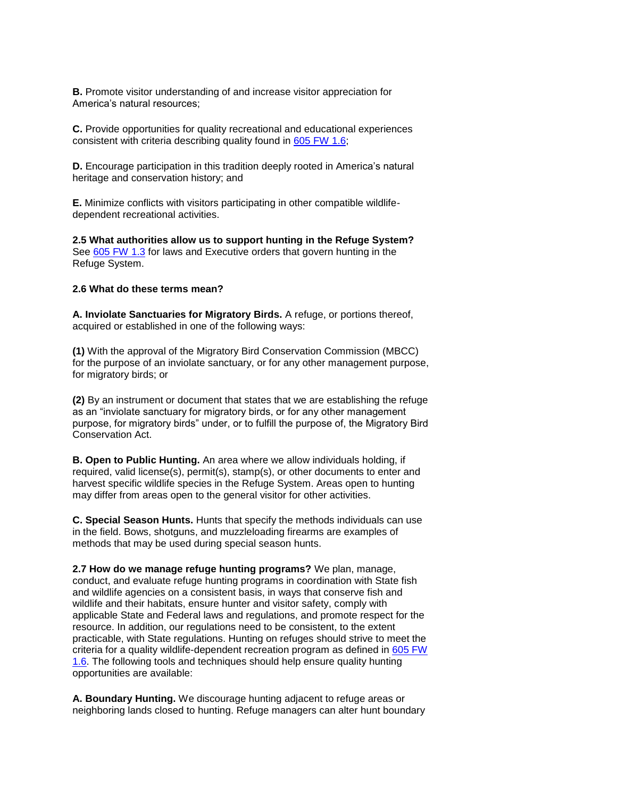**B.** Promote visitor understanding of and increase visitor appreciation for America's natural resources;

**C.** Provide opportunities for quality recreational and educational experiences consistent with criteria describing quality found in [605 FW 1.6;](http://www.fws.gov/policy/605fw1.html)

**D.** Encourage participation in this tradition deeply rooted in America's natural heritage and conservation history; and

**E.** Minimize conflicts with visitors participating in other compatible wildlifedependent recreational activities.

**2.5 What authorities allow us to support hunting in the Refuge System?**  See [605 FW 1.3](http://www.fws.gov/policy/605fw1.html) for laws and Executive orders that govern hunting in the Refuge System.

## **2.6 What do these terms mean?**

**A. Inviolate Sanctuaries for Migratory Birds.** A refuge, or portions thereof, acquired or established in one of the following ways:

**(1)** With the approval of the Migratory Bird Conservation Commission (MBCC) for the purpose of an inviolate sanctuary, or for any other management purpose, for migratory birds; or

 **(2)** By an instrument or document that states that we are establishing the refuge as an "inviolate sanctuary for migratory birds, or for any other management purpose, for migratory birds" under, or to fulfill the purpose of, the Migratory Bird Conservation Act.

 **B. Open to Public Hunting.** An area where we allow individuals holding, if required, valid license(s), permit(s), stamp(s), or other documents to enter and harvest specific wildlife species in the Refuge System. Areas open to hunting may differ from areas open to the general visitor for other activities.

 methods that may be used during special season hunts. **C. Special Season Hunts.** Hunts that specify the methods individuals can use in the field. Bows, shotguns, and muzzleloading firearms are examples of

**2.7 How do we manage refuge hunting programs?** We plan, manage, conduct, and evaluate refuge hunting programs in coordination with State fish and wildlife agencies on a consistent basis, in ways that conserve fish and wildlife and their habitats, ensure hunter and visitor safety, comply with applicable State and Federal laws and regulations, and promote respect for the resource. In addition, our regulations need to be consistent, to the extent practicable, with State regulations. Hunting on refuges should strive to meet the criteria for a quality wildlife-dependent recreation program as defined in [605 FW](http://www.fws.gov/policy/605fw1.html)  [1.6.](http://www.fws.gov/policy/605fw1.html) The following tools and techniques should help ensure quality hunting opportunities are available:

**A. Boundary Hunting.** We discourage hunting adjacent to refuge areas or neighboring lands closed to hunting. Refuge managers can alter hunt boundary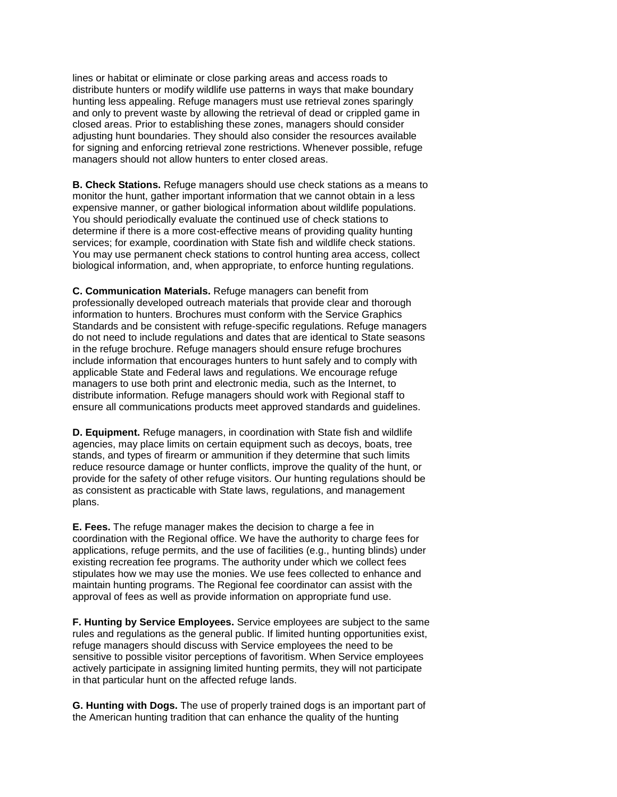lines or habitat or eliminate or close parking areas and access roads to distribute hunters or modify wildlife use patterns in ways that make boundary hunting less appealing. Refuge managers must use retrieval zones sparingly and only to prevent waste by allowing the retrieval of dead or crippled game in closed areas. Prior to establishing these zones, managers should consider adjusting hunt boundaries. They should also consider the resources available for signing and enforcing retrieval zone restrictions. Whenever possible, refuge managers should not allow hunters to enter closed areas.

 determine if there is a more cost-effective means of providing quality hunting biological information, and, when appropriate, to enforce hunting regulations. **B. Check Stations.** Refuge managers should use check stations as a means to monitor the hunt, gather important information that we cannot obtain in a less expensive manner, or gather biological information about wildlife populations. You should periodically evaluate the continued use of check stations to services; for example, coordination with State fish and wildlife check stations. You may use permanent check stations to control hunting area access, collect

 managers to use both print and electronic media, such as the Internet, to **C. Communication Materials.** Refuge managers can benefit from professionally developed outreach materials that provide clear and thorough information to hunters. Brochures must conform with the Service Graphics Standards and be consistent with refuge-specific regulations. Refuge managers do not need to include regulations and dates that are identical to State seasons in the refuge brochure. Refuge managers should ensure refuge brochures include information that encourages hunters to hunt safely and to comply with applicable State and Federal laws and regulations. We encourage refuge distribute information. Refuge managers should work with Regional staff to ensure all communications products meet approved standards and guidelines.

**D. Equipment.** Refuge managers, in coordination with State fish and wildlife agencies, may place limits on certain equipment such as decoys, boats, tree stands, and types of firearm or ammunition if they determine that such limits reduce resource damage or hunter conflicts, improve the quality of the hunt, or provide for the safety of other refuge visitors. Our hunting regulations should be as consistent as practicable with State laws, regulations, and management plans.

 stipulates how we may use the monies. We use fees collected to enhance and approval of fees as well as provide information on appropriate fund use. **E. Fees.** The refuge manager makes the decision to charge a fee in coordination with the Regional office. We have the authority to charge fees for applications, refuge permits, and the use of facilities (e.g., hunting blinds) under existing recreation fee programs. The authority under which we collect fees maintain hunting programs. The Regional fee coordinator can assist with the

 rules and regulations as the general public. If limited hunting opportunities exist, **F. Hunting by Service Employees.** Service employees are subject to the same refuge managers should discuss with Service employees the need to be sensitive to possible visitor perceptions of favoritism. When Service employees actively participate in assigning limited hunting permits, they will not participate in that particular hunt on the affected refuge lands.

 the American hunting tradition that can enhance the quality of the hunting **G. Hunting with Dogs.** The use of properly trained dogs is an important part of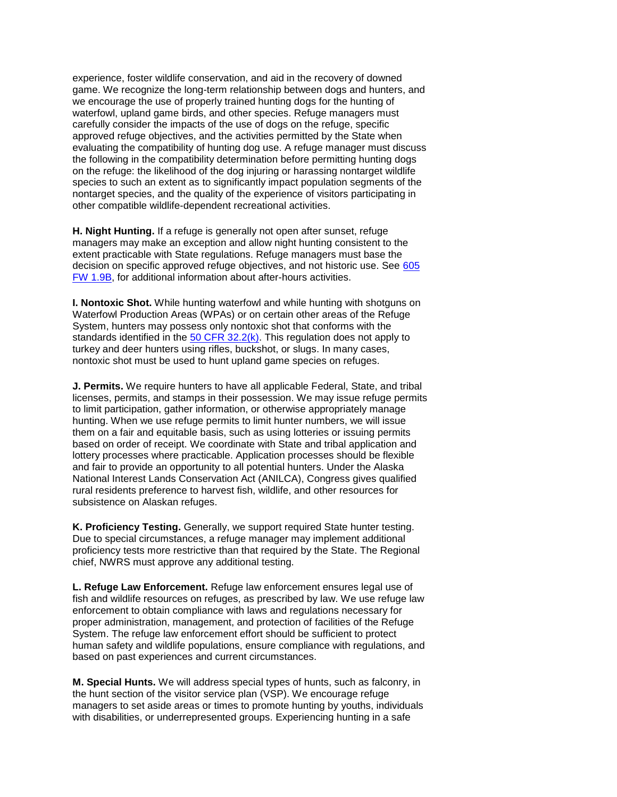experience, foster wildlife conservation, and aid in the recovery of downed game. We recognize the long-term relationship between dogs and hunters, and we encourage the use of properly trained hunting dogs for the hunting of waterfowl, upland game birds, and other species. Refuge managers must carefully consider the impacts of the use of dogs on the refuge, specific approved refuge objectives, and the activities permitted by the State when evaluating the compatibility of hunting dog use. A refuge manager must discuss the following in the compatibility determination before permitting hunting dogs on the refuge: the likelihood of the dog injuring or harassing nontarget wildlife species to such an extent as to significantly impact population segments of the nontarget species, and the quality of the experience of visitors participating in other compatible wildlife-dependent recreational activities.

 **H. Night Hunting.** If a refuge is generally not open after sunset, refuge managers may make an exception and allow night hunting consistent to the extent practicable with State regulations. Refuge managers must base the decision on specific approved refuge objectives, and not historic use. See [605](http://www.fws.gov/policy/605fw1.html)  [FW 1.9B,](http://www.fws.gov/policy/605fw1.html) for additional information about after-hours activities.

standards identified in the [50 CFR 32.2\(k\).](http://ecfr.gpoaccess.gov/cgi/t/text/text-idx?c=ecfr&sid=8e0154ebc44f992c6589726701133cec&rgn=div5&view=text&node=50:6.0.1.2.15&idno=50) This regulation does not apply to **I. Nontoxic Shot.** While hunting waterfowl and while hunting with shotguns on Waterfowl Production Areas (WPAs) or on certain other areas of the Refuge System, hunters may possess only nontoxic shot that conforms with the turkey and deer hunters using rifles, buckshot, or slugs. In many cases, nontoxic shot must be used to hunt upland game species on refuges.

 them on a fair and equitable basis, such as using lotteries or issuing permits **J. Permits.** We require hunters to have all applicable Federal, State, and tribal licenses, permits, and stamps in their possession. We may issue refuge permits to limit participation, gather information, or otherwise appropriately manage hunting. When we use refuge permits to limit hunter numbers, we will issue based on order of receipt. We coordinate with State and tribal application and lottery processes where practicable. Application processes should be flexible and fair to provide an opportunity to all potential hunters. Under the Alaska National Interest Lands Conservation Act (ANILCA), Congress gives qualified rural residents preference to harvest fish, wildlife, and other resources for subsistence on Alaskan refuges.

**K. Proficiency Testing.** Generally, we support required State hunter testing. Due to special circumstances, a refuge manager may implement additional proficiency tests more restrictive than that required by the State. The Regional chief, NWRS must approve any additional testing.

 **L. Refuge Law Enforcement.** Refuge law enforcement ensures legal use of fish and wildlife resources on refuges, as prescribed by law. We use refuge law enforcement to obtain compliance with laws and regulations necessary for proper administration, management, and protection of facilities of the Refuge System. The refuge law enforcement effort should be sufficient to protect human safety and wildlife populations, ensure compliance with regulations, and based on past experiences and current circumstances.

**M. Special Hunts.** We will address special types of hunts, such as falconry, in the hunt section of the visitor service plan (VSP). We encourage refuge managers to set aside areas or times to promote hunting by youths, individuals with disabilities, or underrepresented groups. Experiencing hunting in a safe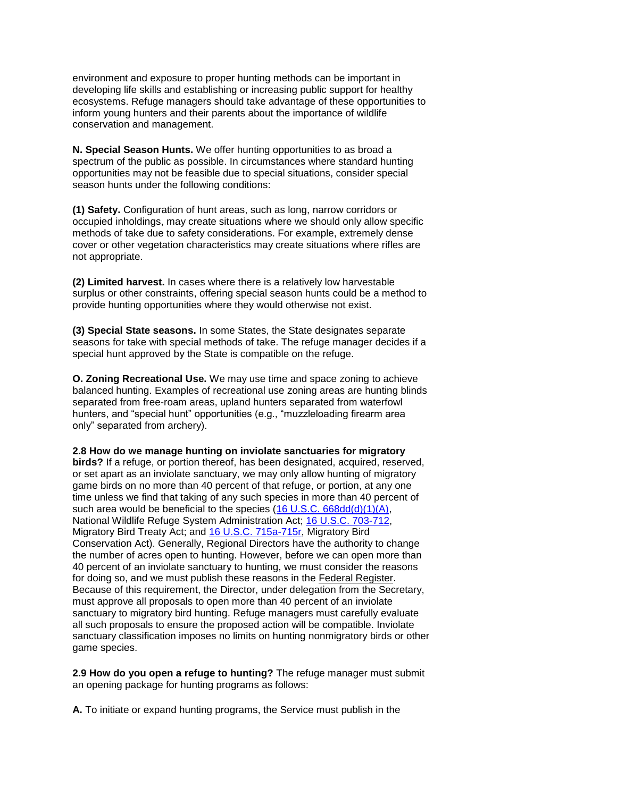environment and exposure to proper hunting methods can be important in developing life skills and establishing or increasing public support for healthy ecosystems. Refuge managers should take advantage of these opportunities to inform young hunters and their parents about the importance of wildlife conservation and management.

**N. Special Season Hunts.** We offer hunting opportunities to as broad a spectrum of the public as possible. In circumstances where standard hunting opportunities may not be feasible due to special situations, consider special season hunts under the following conditions:

 methods of take due to safety considerations. For example, extremely dense **(1) Safety.** Configuration of hunt areas, such as long, narrow corridors or occupied inholdings, may create situations where we should only allow specific cover or other vegetation characteristics may create situations where rifles are not appropriate.

**(2) Limited harvest.** In cases where there is a relatively low harvestable surplus or other constraints, offering special season hunts could be a method to provide hunting opportunities where they would otherwise not exist.

**(3) Special State seasons.** In some States, the State designates separate seasons for take with special methods of take. The refuge manager decides if a special hunt approved by the State is compatible on the refuge.

**O. Zoning Recreational Use.** We may use time and space zoning to achieve balanced hunting. Examples of recreational use zoning areas are hunting blinds separated from free-roam areas, upland hunters separated from waterfowl hunters, and "special hunt" opportunities (e.g., "muzzleloading firearm area only" separated from archery).

 or set apart as an inviolate sanctuary, we may only allow hunting of migratory Migratory Bird Treaty Act; and [16 U.S.C. 715a-715r,](http://uscode.house.gov/search/criteria.shtml) Migratory Bird sanctuary to migratory bird hunting. Refuge managers must carefully evaluate **2.8 How do we manage hunting on inviolate sanctuaries for migratory birds?** If a refuge, or portion thereof, has been designated, acquired, reserved, game birds on no more than 40 percent of that refuge, or portion, at any one time unless we find that taking of any such species in more than 40 percent of such area would be beneficial to the species [\(16 U.S.C. 668dd\(d\)\(1\)\(A\),](http://uscode.house.gov/search/criteria.shtml) National Wildlife Refuge System Administration Act; [16 U.S.C. 703-712,](http://uscode.house.gov/search/criteria.shtml) Conservation Act). Generally, Regional Directors have the authority to change the number of acres open to hunting. However, before we can open more than 40 percent of an inviolate sanctuary to hunting, we must consider the reasons for doing so, and we must publish these reasons in the Federal Register. Because of this requirement, the Director, under delegation from the Secretary, must approve all proposals to open more than 40 percent of an inviolate all such proposals to ensure the proposed action will be compatible. Inviolate sanctuary classification imposes no limits on hunting nonmigratory birds or other game species.

**2.9 How do you open a refuge to hunting?** The refuge manager must submit an opening package for hunting programs as follows:

**A.** To initiate or expand hunting programs, the Service must publish in the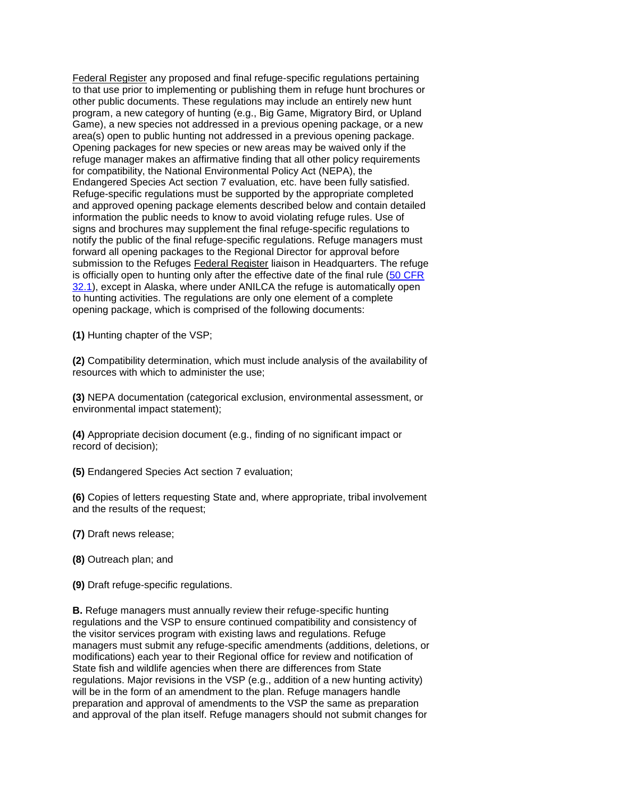other public documents. These regulations may include an entirely new hunt Opening packages for new species or new areas may be waived only if the notify the public of the final refuge-specific regulations. Refuge managers must Federal Register any proposed and final refuge-specific regulations pertaining to that use prior to implementing or publishing them in refuge hunt brochures or program, a new category of hunting (e.g., Big Game, Migratory Bird, or Upland Game), a new species not addressed in a previous opening package, or a new area(s) open to public hunting not addressed in a previous opening package. refuge manager makes an affirmative finding that all other policy requirements for compatibility, the National Environmental Policy Act (NEPA), the Endangered Species Act section 7 evaluation, etc. have been fully satisfied. Refuge-specific regulations must be supported by the appropriate completed and approved opening package elements described below and contain detailed information the public needs to know to avoid violating refuge rules. Use of signs and brochures may supplement the final refuge-specific regulations to forward all opening packages to the Regional Director for approval before submission to the Refuges Federal Register liaison in Headquarters. The refuge is officially open to hunting only after the effective date of the final rule [\(50 CFR](http://ecfr.gpoaccess.gov/cgi/t/text/text-idx?c=ecfr&sid=8e0154ebc44f992c6589726701133cec&rgn=div5&view=text&node=50:6.0.1.2.15&idno=50)  [32.1\)](http://ecfr.gpoaccess.gov/cgi/t/text/text-idx?c=ecfr&sid=8e0154ebc44f992c6589726701133cec&rgn=div5&view=text&node=50:6.0.1.2.15&idno=50), except in Alaska, where under ANILCA the refuge is automatically open to hunting activities. The regulations are only one element of a complete opening package, which is comprised of the following documents:

**(1)** Hunting chapter of the VSP;

**(2)** Compatibility determination, which must include analysis of the availability of resources with which to administer the use;

**(3)** NEPA documentation (categorical exclusion, environmental assessment, or environmental impact statement);

 **(4)** Appropriate decision document (e.g., finding of no significant impact or record of decision);

**(5)** Endangered Species Act section 7 evaluation;

 **(6)** Copies of letters requesting State and, where appropriate, tribal involvement and the results of the request;

**(7)** Draft news release;

- **(8)** Outreach plan; and
- **(9)** Draft refuge-specific regulations.

 regulations and the VSP to ensure continued compatibility and consistency of modifications) each year to their Regional office for review and notification of regulations. Major revisions in the VSP (e.g., addition of a new hunting activity) **B.** Refuge managers must annually review their refuge-specific hunting the visitor services program with existing laws and regulations. Refuge managers must submit any refuge-specific amendments (additions, deletions, or State fish and wildlife agencies when there are differences from State will be in the form of an amendment to the plan. Refuge managers handle preparation and approval of amendments to the VSP the same as preparation and approval of the plan itself. Refuge managers should not submit changes for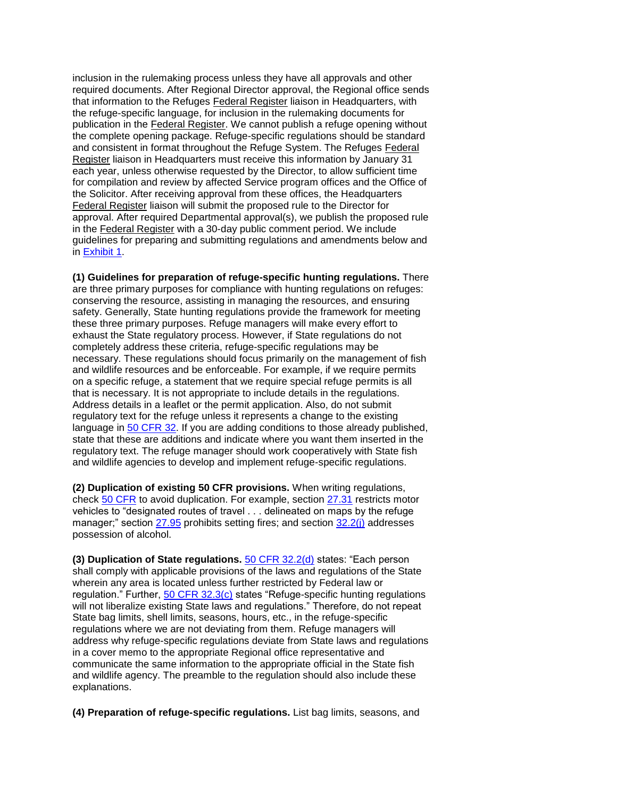each year, unless otherwise requested by the Director, to allow sufficient time for compilation and review by affected Service program offices and the Office of guidelines for preparing and submitting regulations and amendments below and inclusion in the rulemaking process unless they have all approvals and other required documents. After Regional Director approval, the Regional office sends that information to the Refuges Federal Register liaison in Headquarters, with the refuge-specific language, for inclusion in the rulemaking documents for publication in the Federal Register. We cannot publish a refuge opening without the complete opening package. Refuge-specific regulations should be standard and consistent in format throughout the Refuge System. The Refuges Federal Register liaison in Headquarters must receive this information by January 31 the Solicitor. After receiving approval from these offices, the Headquarters Federal Register liaison will submit the proposed rule to the Director for approval. After required Departmental approval(s), we publish the proposed rule in the Federal Register with a 30-day public comment period. We include in [Exhibit 1.](http://www.fws.gov/policy/e1605fw2.html)

 conserving the resource, assisting in managing the resources, and ensuring these three primary purposes. Refuge managers will make every effort to that is necessary. It is not appropriate to include details in the regulations. **(1) Guidelines for preparation of refuge-specific hunting regulations.** There are three primary purposes for compliance with hunting regulations on refuges: safety. Generally, State hunting regulations provide the framework for meeting exhaust the State regulatory process. However, if State regulations do not completely address these criteria, refuge-specific regulations may be necessary. These regulations should focus primarily on the management of fish and wildlife resources and be enforceable. For example, if we require permits on a specific refuge, a statement that we require special refuge permits is all Address details in a leaflet or the permit application. Also, do not submit regulatory text for the refuge unless it represents a change to the existing language in [50 CFR 32.](http://ecfr.gpoaccess.gov/cgi/t/text/text-idx?c=ecfr&sid=8e0154ebc44f992c6589726701133cec&rgn=div5&view=text&node=50:6.0.1.2.15&idno=50) If you are adding conditions to those already published, state that these are additions and indicate where you want them inserted in the regulatory text. The refuge manager should work cooperatively with State fish and wildlife agencies to develop and implement refuge-specific regulations.

**(2) Duplication of existing 50 CFR provisions.** When writing regulations, check [50 CFR](http://ecfr.gpoaccess.gov/cgi/t/text/text-idx?sid=8e0154ebc44f992c6589726701133cec&c=ecfr&tpl=/ecfrbrowse/Title50/50tab_02.tpl) to avoid duplication. For example, section [27.31](http://ecfr.gpoaccess.gov/cgi/t/text/text-idx?c=ecfr&sid=8e0154ebc44f992c6589726701133cec&rgn=div5&view=text&node=50:6.0.1.2.10&idno=50) restricts motor vehicles to "designated routes of travel . . . delineated on maps by the refuge manager;" section [27.95](http://ecfr.gpoaccess.gov/cgi/t/text/text-idx?c=ecfr&sid=8e0154ebc44f992c6589726701133cec&rgn=div5&view=text&node=50:6.0.1.2.10&idno=50) prohibits setting fires; and section [32.2\(j\)](http://ecfr.gpoaccess.gov/cgi/t/text/text-idx?c=ecfr&sid=8e0154ebc44f992c6589726701133cec&rgn=div5&view=text&node=50:6.0.1.2.15&idno=50) addresses possession of alcohol.

 will not liberalize existing State laws and regulations." Therefore, do not repeat regulations where we are not deviating from them. Refuge managers will **(3) Duplication of State regulations.** [50 CFR 32.2\(d\)](http://ecfr.gpoaccess.gov/cgi/t/text/text-idx?c=ecfr&sid=8e0154ebc44f992c6589726701133cec&rgn=div5&view=text&node=50:6.0.1.2.15&idno=50) states: "Each person shall comply with applicable provisions of the laws and regulations of the State wherein any area is located unless further restricted by Federal law or regulation." Further, [50 CFR 32.3\(c\)](http://ecfr.gpoaccess.gov/cgi/t/text/text-idx?c=ecfr&sid=8e0154ebc44f992c6589726701133cec&rgn=div5&view=text&node=50:6.0.1.2.15&idno=50) states "Refuge-specific hunting regulations State bag limits, shell limits, seasons, hours, etc., in the refuge-specific address why refuge-specific regulations deviate from State laws and regulations in a cover memo to the appropriate Regional office representative and communicate the same information to the appropriate official in the State fish and wildlife agency. The preamble to the regulation should also include these explanations.

**(4) Preparation of refuge-specific regulations.** List bag limits, seasons, and